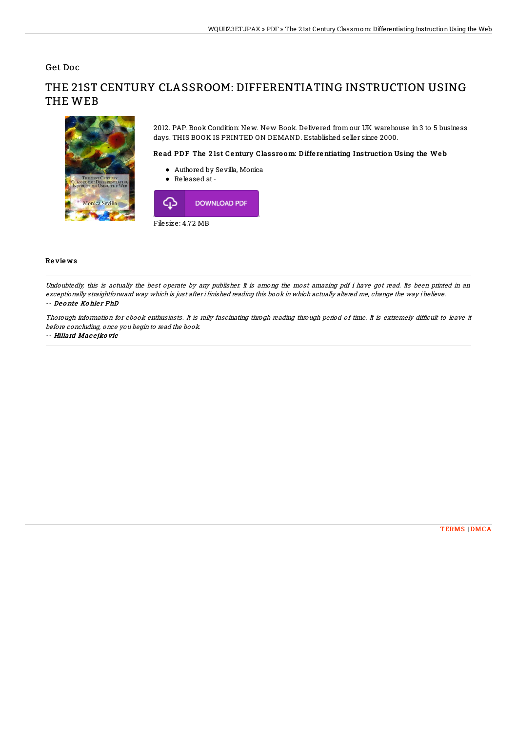Get Doc

# THE 21ST CENTURY CLASSROOM: DIFFERENTIATING INSTRUCTION USING THE WEB



2012. PAP. Book Condition: New. New Book. Delivered from our UK warehouse in 3 to 5 business days. THIS BOOK IS PRINTED ON DEMAND. Established seller since 2000.

#### Read PDF The 21st Century Classroom: Differentiating Instruction Using the Web

- Authored by Sevilla, Monica
- Released at-



### Re vie ws

Undoubtedly, this is actually the best operate by any publisher. It is among the most amazing pdf i have got read. Its been printed in an exceptionally straightforward way which is just after i finished reading this book in which actually altered me, change the way i believe. -- De o nte Ko hle <sup>r</sup> PhD

Thorough information for ebook enthusiasts. It is rally fascinating throgh reading through period of time. It is extremely difficult to leave it before concluding, once you begin to read the book.

#### -- Hillard Macejko vic